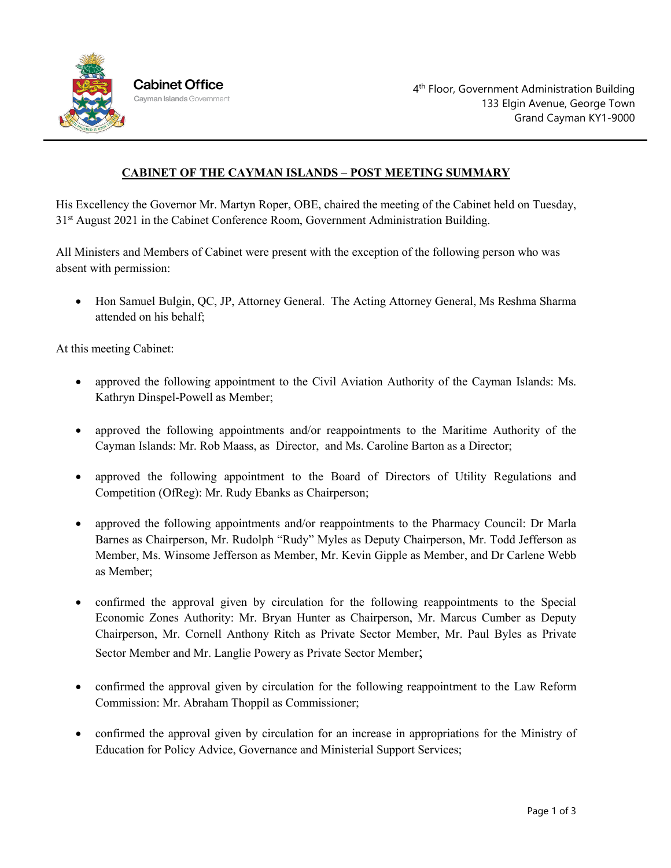

## **CABINET OF THE CAYMAN ISLANDS – POST MEETING SUMMARY**

His Excellency the Governor Mr. Martyn Roper, OBE, chaired the meeting of the Cabinet held on Tuesday, 31st August 2021 in the Cabinet Conference Room, Government Administration Building.

All Ministers and Members of Cabinet were present with the exception of the following person who was absent with permission:

• Hon Samuel Bulgin, QC, JP, Attorney General. The Acting Attorney General, Ms Reshma Sharma attended on his behalf;

At this meeting Cabinet:

- approved the following appointment to the Civil Aviation Authority of the Cayman Islands: Ms. Kathryn Dinspel-Powell as Member;
- approved the following appointments and/or reappointments to the Maritime Authority of the Cayman Islands: Mr. Rob Maass, as Director, and Ms. Caroline Barton as a Director;
- approved the following appointment to the Board of Directors of Utility Regulations and Competition (OfReg): Mr. Rudy Ebanks as Chairperson;
- approved the following appointments and/or reappointments to the Pharmacy Council: Dr Marla Barnes as Chairperson, Mr. Rudolph "Rudy" Myles as Deputy Chairperson, Mr. Todd Jefferson as Member, Ms. Winsome Jefferson as Member, Mr. Kevin Gipple as Member, and Dr Carlene Webb as Member;
- confirmed the approval given by circulation for the following reappointments to the Special Economic Zones Authority: Mr. Bryan Hunter as Chairperson, Mr. Marcus Cumber as Deputy Chairperson, Mr. Cornell Anthony Ritch as Private Sector Member, Mr. Paul Byles as Private Sector Member and Mr. Langlie Powery as Private Sector Member;
- confirmed the approval given by circulation for the following reappointment to the Law Reform Commission: Mr. Abraham Thoppil as Commissioner;
- confirmed the approval given by circulation for an increase in appropriations for the Ministry of Education for Policy Advice, Governance and Ministerial Support Services;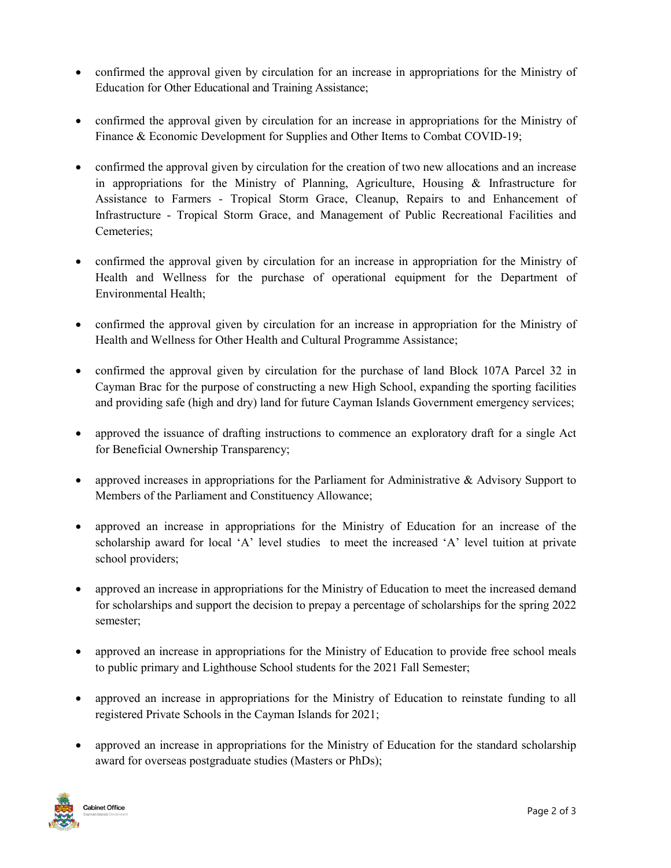- confirmed the approval given by circulation for an increase in appropriations for the Ministry of Education for Other Educational and Training Assistance;
- confirmed the approval given by circulation for an increase in appropriations for the Ministry of Finance & Economic Development for Supplies and Other Items to Combat COVID-19;
- confirmed the approval given by circulation for the creation of two new allocations and an increase in appropriations for the Ministry of Planning, Agriculture, Housing & Infrastructure for Assistance to Farmers - Tropical Storm Grace, Cleanup, Repairs to and Enhancement of Infrastructure - Tropical Storm Grace, and Management of Public Recreational Facilities and Cemeteries;
- confirmed the approval given by circulation for an increase in appropriation for the Ministry of Health and Wellness for the purchase of operational equipment for the Department of Environmental Health;
- confirmed the approval given by circulation for an increase in appropriation for the Ministry of Health and Wellness for Other Health and Cultural Programme Assistance;
- confirmed the approval given by circulation for the purchase of land Block 107A Parcel 32 in Cayman Brac for the purpose of constructing a new High School, expanding the sporting facilities and providing safe (high and dry) land for future Cayman Islands Government emergency services;
- approved the issuance of drafting instructions to commence an exploratory draft for a single Act for Beneficial Ownership Transparency;
- approved increases in appropriations for the Parliament for Administrative & Advisory Support to Members of the Parliament and Constituency Allowance;
- approved an increase in appropriations for the Ministry of Education for an increase of the scholarship award for local 'A' level studies to meet the increased 'A' level tuition at private school providers;
- approved an increase in appropriations for the Ministry of Education to meet the increased demand for scholarships and support the decision to prepay a percentage of scholarships for the spring 2022 semester;
- approved an increase in appropriations for the Ministry of Education to provide free school meals to public primary and Lighthouse School students for the 2021 Fall Semester;
- approved an increase in appropriations for the Ministry of Education to reinstate funding to all registered Private Schools in the Cayman Islands for 2021;
- approved an increase in appropriations for the Ministry of Education for the standard scholarship award for overseas postgraduate studies (Masters or PhDs);